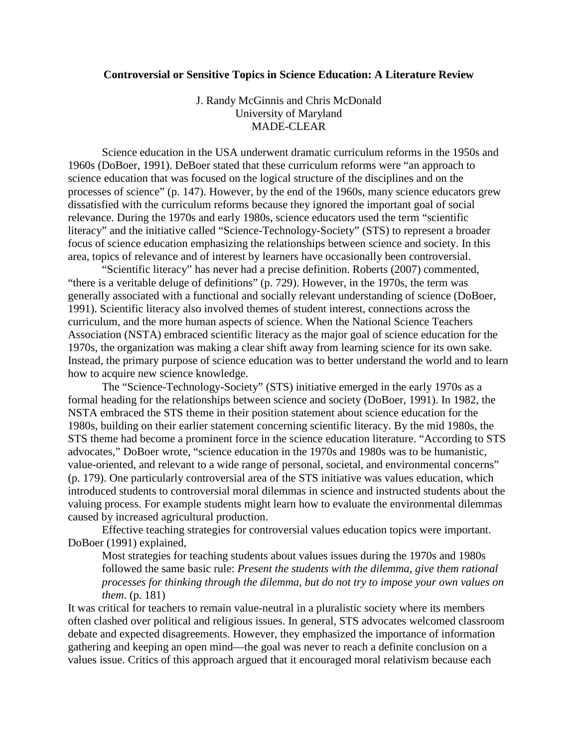## **Controversial or Sensitive Topics in Science Education: A Literature Review**

J. Randy McGinnis and Chris McDonald University of Maryland MADE-CLEAR

Science education in the USA underwent dramatic curriculum reforms in the 1950s and 1960s (DoBoer, 1991). DeBoer stated that these curriculum reforms were "an approach to science education that was focused on the logical structure of the disciplines and on the processes of science" (p. 147). However, by the end of the 1960s, many science educators grew dissatisfied with the curriculum reforms because they ignored the important goal of social relevance. During the 1970s and early 1980s, science educators used the term "scientific literacy" and the initiative called "Science-Technology-Society" (STS) to represent a broader focus of science education emphasizing the relationships between science and society. In this area, topics of relevance and of interest by learners have occasionally been controversial.

"Scientific literacy" has never had a precise definition. Roberts (2007) commented, "there is a veritable deluge of definitions" (p. 729). However, in the 1970s, the term was generally associated with a functional and socially relevant understanding of science (DoBoer, 1991). Scientific literacy also involved themes of student interest, connections across the curriculum, and the more human aspects of science. When the National Science Teachers Association (NSTA) embraced scientific literacy as the major goal of science education for the 1970s, the organization was making a clear shift away from learning science for its own sake. Instead, the primary purpose of science education was to better understand the world and to learn how to acquire new science knowledge.

The "Science-Technology-Society" (STS) initiative emerged in the early 1970s as a formal heading for the relationships between science and society (DoBoer, 1991). In 1982, the NSTA embraced the STS theme in their position statement about science education for the 1980s, building on their earlier statement concerning scientific literacy. By the mid 1980s, the STS theme had become a prominent force in the science education literature. "According to STS advocates," DoBoer wrote, "science education in the 1970s and 1980s was to be humanistic, value-oriented, and relevant to a wide range of personal, societal, and environmental concerns" (p. 179). One particularly controversial area of the STS initiative was values education, which introduced students to controversial moral dilemmas in science and instructed students about the valuing process. For example students might learn how to evaluate the environmental dilemmas caused by increased agricultural production.

Effective teaching strategies for controversial values education topics were important. DoBoer (1991) explained,

Most strategies for teaching students about values issues during the 1970s and 1980s followed the same basic rule: *Present the students with the dilemma, give them rational processes for thinking through the dilemma, but do not try to impose your own values on them*. (p. 181)

It was critical for teachers to remain value-neutral in a pluralistic society where its members often clashed over political and religious issues. In general, STS advocates welcomed classroom debate and expected disagreements. However, they emphasized the importance of information gathering and keeping an open mind—the goal was never to reach a definite conclusion on a values issue. Critics of this approach argued that it encouraged moral relativism because each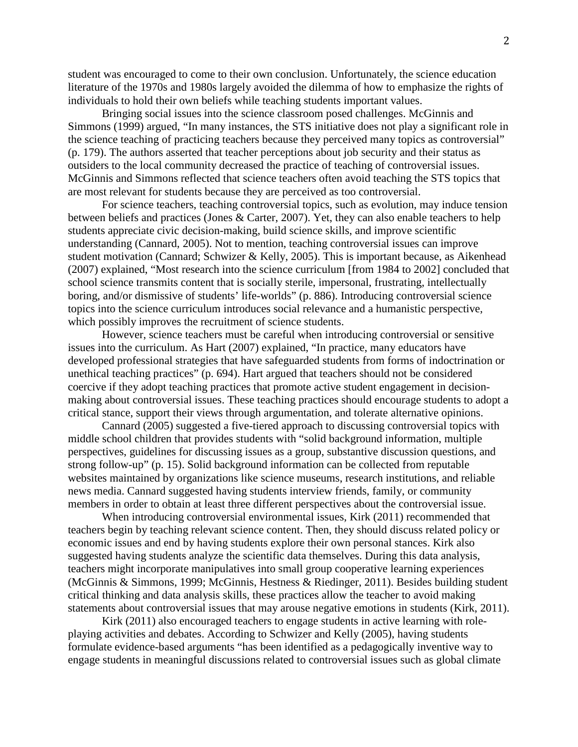student was encouraged to come to their own conclusion. Unfortunately, the science education literature of the 1970s and 1980s largely avoided the dilemma of how to emphasize the rights of individuals to hold their own beliefs while teaching students important values.

Bringing social issues into the science classroom posed challenges. McGinnis and Simmons (1999) argued, "In many instances, the STS initiative does not play a significant role in the science teaching of practicing teachers because they perceived many topics as controversial" (p. 179). The authors asserted that teacher perceptions about job security and their status as outsiders to the local community decreased the practice of teaching of controversial issues. McGinnis and Simmons reflected that science teachers often avoid teaching the STS topics that are most relevant for students because they are perceived as too controversial.

For science teachers, teaching controversial topics, such as evolution, may induce tension between beliefs and practices (Jones & Carter, 2007). Yet, they can also enable teachers to help students appreciate civic decision-making, build science skills, and improve scientific understanding (Cannard, 2005). Not to mention, teaching controversial issues can improve student motivation (Cannard; Schwizer & Kelly, 2005). This is important because, as Aikenhead (2007) explained, "Most research into the science curriculum [from 1984 to 2002] concluded that school science transmits content that is socially sterile, impersonal, frustrating, intellectually boring, and/or dismissive of students' life-worlds" (p. 886). Introducing controversial science topics into the science curriculum introduces social relevance and a humanistic perspective, which possibly improves the recruitment of science students.

However, science teachers must be careful when introducing controversial or sensitive issues into the curriculum. As Hart (2007) explained, "In practice, many educators have developed professional strategies that have safeguarded students from forms of indoctrination or unethical teaching practices" (p. 694). Hart argued that teachers should not be considered coercive if they adopt teaching practices that promote active student engagement in decisionmaking about controversial issues. These teaching practices should encourage students to adopt a critical stance, support their views through argumentation, and tolerate alternative opinions.

Cannard (2005) suggested a five-tiered approach to discussing controversial topics with middle school children that provides students with "solid background information, multiple perspectives, guidelines for discussing issues as a group, substantive discussion questions, and strong follow-up" (p. 15). Solid background information can be collected from reputable websites maintained by organizations like science museums, research institutions, and reliable news media. Cannard suggested having students interview friends, family, or community members in order to obtain at least three different perspectives about the controversial issue.

When introducing controversial environmental issues, Kirk (2011) recommended that teachers begin by teaching relevant science content. Then, they should discuss related policy or economic issues and end by having students explore their own personal stances. Kirk also suggested having students analyze the scientific data themselves. During this data analysis, teachers might incorporate manipulatives into small group cooperative learning experiences (McGinnis & Simmons, 1999; McGinnis, Hestness & Riedinger, 2011). Besides building student critical thinking and data analysis skills, these practices allow the teacher to avoid making statements about controversial issues that may arouse negative emotions in students (Kirk, 2011).

Kirk (2011) also encouraged teachers to engage students in active learning with roleplaying activities and debates. According to Schwizer and Kelly (2005), having students formulate evidence-based arguments "has been identified as a pedagogically inventive way to engage students in meaningful discussions related to controversial issues such as global climate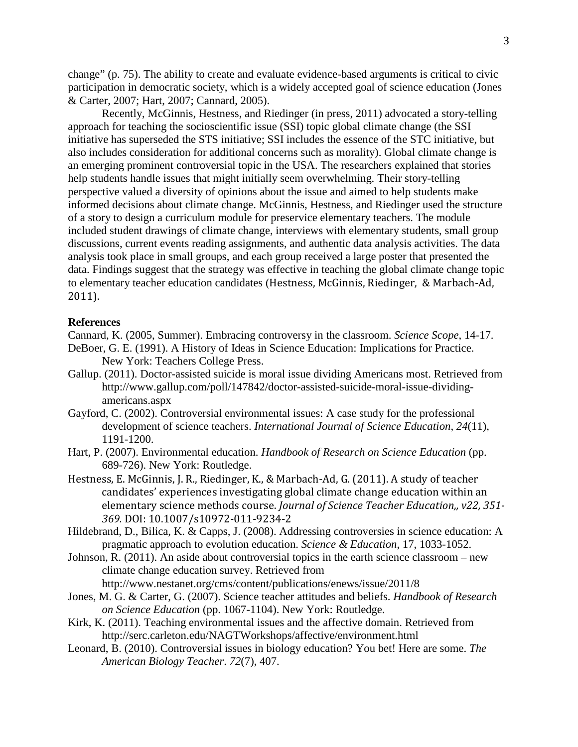change" (p. 75). The ability to create and evaluate evidence-based arguments is critical to civic participation in democratic society, which is a widely accepted goal of science education (Jones & Carter, 2007; Hart, 2007; Cannard, 2005).

Recently, McGinnis, Hestness, and Riedinger (in press, 2011) advocated a story-telling approach for teaching the socioscientific issue (SSI) topic global climate change (the SSI initiative has superseded the STS initiative; SSI includes the essence of the STC initiative, but also includes consideration for additional concerns such as morality). Global climate change is an emerging prominent controversial topic in the USA. The researchers explained that stories help students handle issues that might initially seem overwhelming. Their story-telling perspective valued a diversity of opinions about the issue and aimed to help students make informed decisions about climate change. McGinnis, Hestness, and Riedinger used the structure of a story to design a curriculum module for preservice elementary teachers. The module included student drawings of climate change, interviews with elementary students, small group discussions, current events reading assignments, and authentic data analysis activities. The data analysis took place in small groups, and each group received a large poster that presented the data. Findings suggest that the strategy was effective in teaching the global climate change topic to elementary teacher education candidates (Hestness, McGinnis, Riedinger, & Marbach-Ad, 2011).

## **References**

Cannard, K. (2005, Summer). Embracing controversy in the classroom. *Science Scope*, 14-17.

- DeBoer, G. E. (1991). A History of Ideas in Science Education: Implications for Practice. New York: Teachers College Press.
- Gallup. (2011). Doctor-assisted suicide is moral issue dividing Americans most. Retrieved from http://www.gallup.com/poll/147842/doctor-assisted-suicide-moral-issue-dividingamericans.aspx
- Gayford, C. (2002). Controversial environmental issues: A case study for the professional development of science teachers. *International Journal of Science Education*, *24*(11), 1191-1200.
- Hart, P. (2007). Environmental education. *Handbook of Research on Science Education* (pp. 689-726). New York: Routledge.
- Hestness, E. McGinnis, J. R., Riedinger, K., & Marbach-Ad, G. (2011). A study of teacher candidates' experiences investigating global climate change education within an elementary science methods course. *Journal of Science Teacher Education,, v22, 351- 369.* DOI: 10.1007/s10972-011-9234-2
- Hildebrand, D., Bilica, K. & Capps, J. (2008). Addressing controversies in science education: A pragmatic approach to evolution education. *Science & Education*, 17, 1033-1052.
- Johnson, R. (2011). An aside about controversial topics in the earth science classroom new climate change education survey. Retrieved from http://www.nestanet.org/cms/content/publications/enews/issue/2011/8
- Jones, M. G. & Carter, G. (2007). Science teacher attitudes and beliefs. *Handbook of Research on Science Education* (pp. 1067-1104). New York: Routledge.
- Kirk, K. (2011). Teaching environmental issues and the affective domain. Retrieved from http://serc.carleton.edu/NAGTWorkshops/affective/environment.html
- Leonard, B. (2010). Controversial issues in biology education? You bet! Here are some. *The American Biology Teacher*. *72*(7), 407.